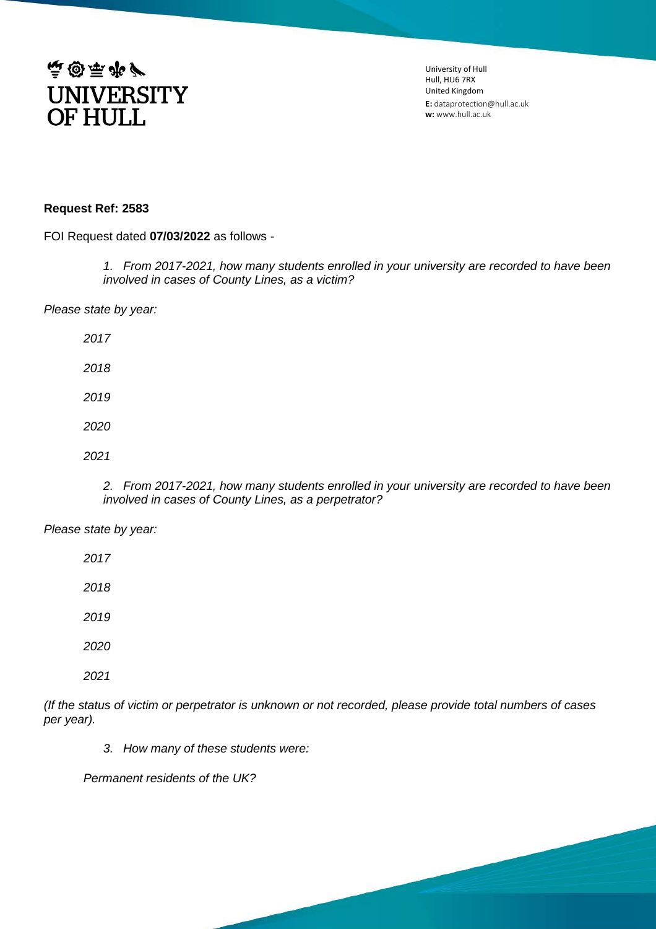

University of Hull Hull, HU6 7RX United Kingdom **E:** dataprotection@hull.ac.uk **w:** www.hull.ac.uk

## **Request Ref: 2583**

FOI Request dated **07/03/2022** as follows -

*1. From 2017-2021, how many students enrolled in your university are recorded to have been involved in cases of County Lines, as a victim?*

*Please state by year:*

*2017*

*2018*

- *2019*
- *2020*
- *2021*

*2. From 2017-2021, how many students enrolled in your university are recorded to have been involved in cases of County Lines, as a perpetrator?*

*Please state by year:*

*2017*

*2018*

- *2019*
- *2020*
- *2021*

*(If the status of victim or perpetrator is unknown or not recorded, please provide total numbers of cases per year).*

*3. How many of these students were:* 

*Permanent residents of the UK?*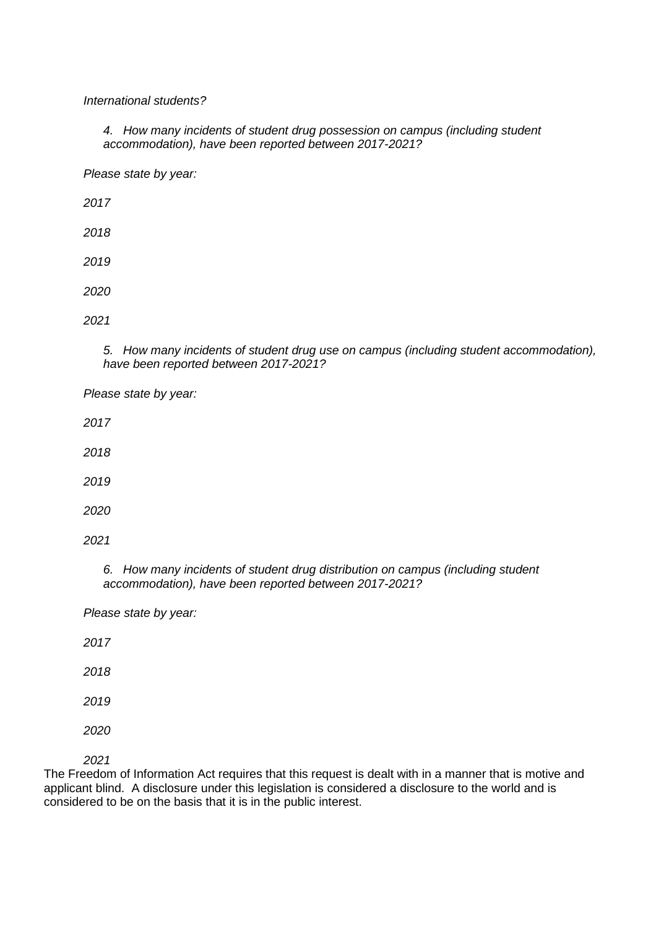## *International students?*

*4. How many incidents of student drug possession on campus (including student accommodation), have been reported between 2017-2021?*

*Please state by year:*

*2017*

*2018*

*2019*

*2020* 

*2021*

*5. How many incidents of student drug use on campus (including student accommodation), have been reported between 2017-2021?*

*Please state by year:*

*2017*

*2018*

*2019*

*2020* 

*2021*

*6. How many incidents of student drug distribution on campus (including student accommodation), have been reported between 2017-2021?*

*Please state by year:*

*2017*

*2018*

*2019*

*2020* 

*2021*

The Freedom of Information Act requires that this request is dealt with in a manner that is motive and applicant blind. A disclosure under this legislation is considered a disclosure to the world and is considered to be on the basis that it is in the public interest.